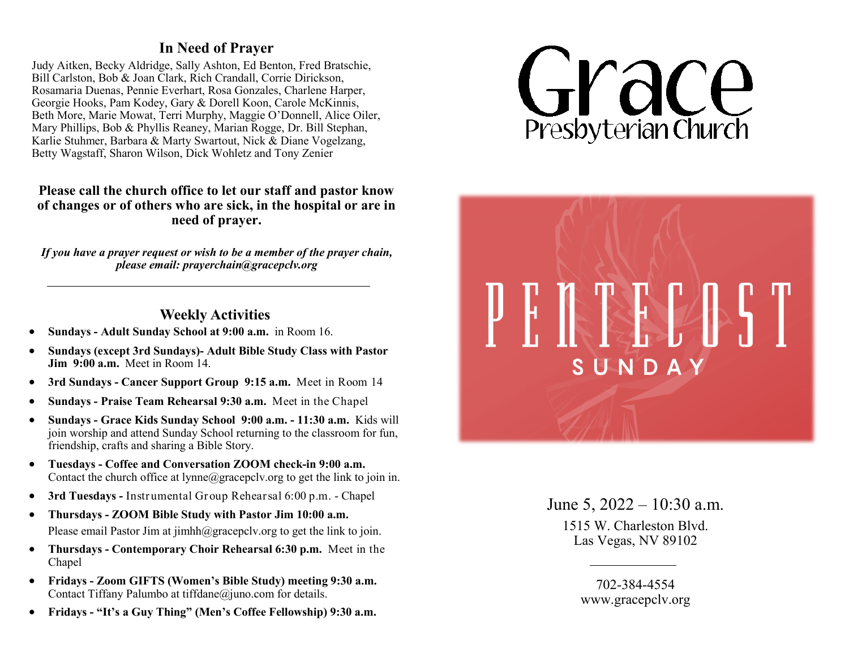## **In Need of Prayer**

Judy Aitken, Becky Aldridge, Sally Ashton, Ed Benton, Fred Bratschie, Bill Carlston, Bob & Joan Clark, Rich Crandall, Corrie Dirickson, Rosamaria Duenas, Pennie Everhart, Rosa Gonzales, Charlene Harper, Georgie Hooks, Pam Kodey, Gary & Dorell Koon, Carole McKinnis, Beth More, Marie Mowat, Terri Murphy, Maggie O'Donnell, Alice Oiler, Mary Phillips, Bob & Phyllis Reaney, Marian Rogge, Dr. Bill Stephan, Karlie Stuhmer, Barbara & Marty Swartout, Nick & Diane Vogelzang, Betty Wagstaff, Sharon Wilson, Dick Wohletz and Tony Zenier

## **Please call the church office to let our staff and pastor know of changes or of others who are sick, in the hospital or are in need of prayer.**

*If you have a prayer request or wish to be a member of the prayer chain, please email: prayerchain@gracepclv.org*

## **Weekly Activities**

- **Sundays - Adult Sunday School at 9:00 a.m.** in Room 16.
- **Sundays (except 3rd Sundays)- Adult Bible Study Class with Pastor Jim 9:00 a.m.** Meet in Room 14.
- **3rd Sundays - Cancer Support Group 9:15 a.m.** Meet in Room 14
- **Sundays - Praise Team Rehearsal 9:30 a.m.** Meet in the Chapel
- **Sundays - Grace Kids Sunday School 9:00 a.m. - 11:30 a.m.** Kids will join worship and attend Sunday School returning to the classroom for fun, friendship, crafts and sharing a Bible Story.
- **Tuesdays - Coffee and Conversation ZOOM check-in 9:00 a.m.**  Contac[t t](mailto:dana@gracepclv.org?subject=Requesting%20Zoom%20Link%20for%20Coffee%20with%20Pastor%20Dana)he church office at  $lynne@gracepcly.org$  to get the link to join in.
- **3rd Tuesdays -** Instrumental Group Rehearsal 6:00 p.m. Chapel
- **Thursdays - ZOOM Bible Study with Pastor Jim 10:00 a.m.**  Please email Pastor Jim at jimhh@gracepclv.org to get the link to join.
- **Thursdays - Contemporary Choir Rehearsal 6:30 p.m.** Meet in the Chapel
- **Fridays - Zoom GIFTS (Women's Bible Study) meeting 9:30 a.m.**  Contact Tiffany Palumbo at tiffdane@juno.com for details.
- **Fridays - "It's a Guy Thing" (Men's Coffee Fellowship) 9:30 a.m.**





June 5,  $2022 - 10:30$  a.m. 1515 W. Charleston Blvd. Las Vegas, NV 89102

> 702-384-4554 www.gracepclv.org